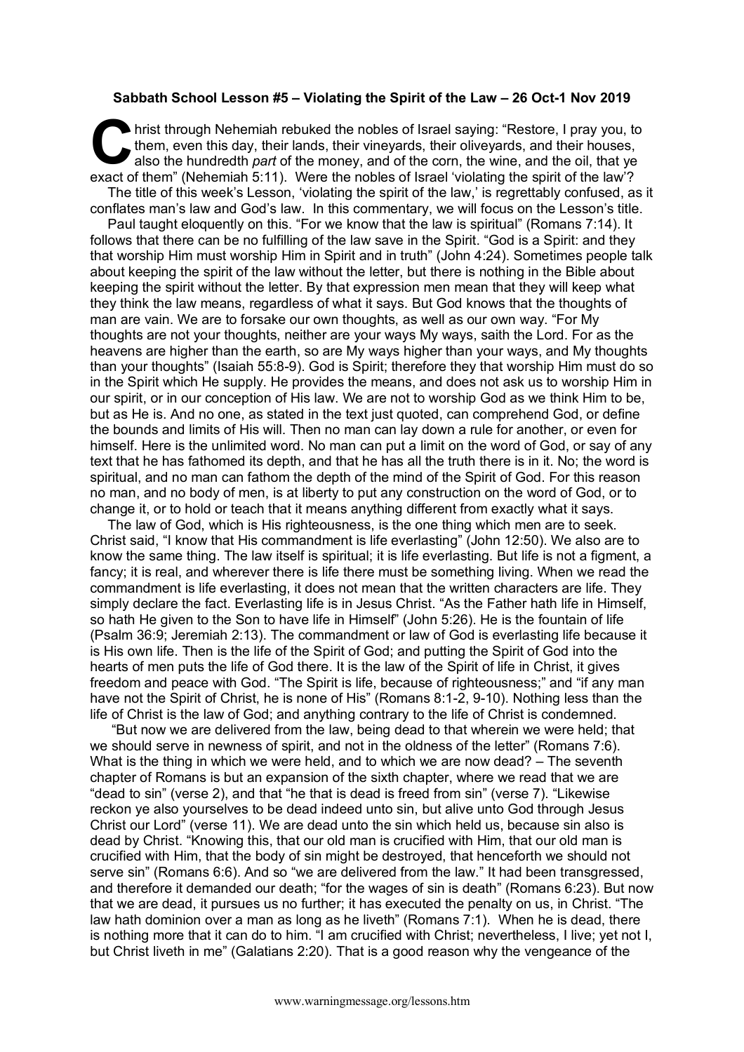## **Sabbath School Lesson #5 – Violating the Spirit of the Law – 26 Oct-1 Nov 2019**

hrist through Nehemiah rebuked the nobles of Israel saying: "Restore, I pray you, to them, even this day, their lands, their vineyards, their oliveyards, and their houses, also the hundredth *part* of the money, and of the corn, the wine, and the oil, that ye hrist through Nehemiah rebuked the nobles of Israel saying: "Restore, I pray you, them, even this day, their lands, their vineyards, their oliveyards, and their houses, also the hundredth *part* of the money, and of the co The title of this week's Lesson, 'violating the spirit of the law,' is regrettably confused, as it conflates man's law and God's law. In this commentary, we will focus on the Lesson's title.

Paul taught eloquently on this. "For we know that the law is spiritual" (Romans 7:14). It follows that there can be no fulfilling of the law save in the Spirit. "God is a Spirit: and they that worship Him must worship Him in Spirit and in truth" (John 4:24). Sometimes people talk about keeping the spirit of the law without the letter, but there is nothing in the Bible about keeping the spirit without the letter. By that expression men mean that they will keep what they think the law means, regardless of what it says. But God knows that the thoughts of man are vain. We are to forsake our own thoughts, as well as our own way. "For My thoughts are not your thoughts, neither are your ways My ways, saith the Lord. For as the heavens are higher than the earth, so are My ways higher than your ways, and My thoughts than your thoughts" (Isaiah 55:8-9). God is Spirit; therefore they that worship Him must do so in the Spirit which He supply. He provides the means, and does not ask us to worship Him in our spirit, or in our conception of His law. We are not to worship God as we think Him to be, but as He is. And no one, as stated in the text just quoted, can comprehend God, or define the bounds and limits of His will. Then no man can lay down a rule for another, or even for himself. Here is the unlimited word. No man can put a limit on the word of God, or say of any text that he has fathomed its depth, and that he has all the truth there is in it. No; the word is spiritual, and no man can fathom the depth of the mind of the Spirit of God. For this reason no man, and no body of men, is at liberty to put any construction on the word of God, or to change it, or to hold or teach that it means anything different from exactly what it says.

The law of God, which is His righteousness, is the one thing which men are to seek. Christ said, "I know that His commandment is life everlasting" (John 12:50). We also are to know the same thing. The law itself is spiritual; it is life everlasting. But life is not a figment, a fancy; it is real, and wherever there is life there must be something living. When we read the commandment is life everlasting, it does not mean that the written characters are life. They simply declare the fact. Everlasting life is in Jesus Christ. "As the Father hath life in Himself, so hath He given to the Son to have life in Himself" (John 5:26). He is the fountain of life (Psalm 36:9; Jeremiah 2:13). The commandment or law of God is everlasting life because it is His own life. Then is the life of the Spirit of God; and putting the Spirit of God into the hearts of men puts the life of God there. It is the law of the Spirit of life in Christ, it gives freedom and peace with God. "The Spirit is life, because of righteousness;" and "if any man have not the Spirit of Christ, he is none of His" (Romans 8:1-2, 9-10). Nothing less than the life of Christ is the law of God; and anything contrary to the life of Christ is condemned.

"But now we are delivered from the law, being dead to that wherein we were held; that we should serve in newness of spirit, and not in the oldness of the letter" (Romans 7:6). What is the thing in which we were held, and to which we are now dead? – The seventh chapter of Romans is but an expansion of the sixth chapter, where we read that we are "dead to sin" (verse 2), and that "he that is dead is freed from sin" (verse 7). "Likewise reckon ye also yourselves to be dead indeed unto sin, but alive unto God through Jesus Christ our Lord" (verse 11). We are dead unto the sin which held us, because sin also is dead by Christ. "Knowing this, that our old man is crucified with Him, that our old man is crucified with Him, that the body of sin might be destroyed, that henceforth we should not serve sin" (Romans 6:6). And so "we are delivered from the law." It had been transgressed, and therefore it demanded our death; "for the wages of sin is death" (Romans 6:23). But now that we are dead, it pursues us no further; it has executed the penalty on us, in Christ. "The law hath dominion over a man as long as he liveth" (Romans 7:1). When he is dead, there is nothing more that it can do to him. "I am crucified with Christ; nevertheless, I live; yet not I, but Christ liveth in me" (Galatians 2:20). That is a good reason why the vengeance of the